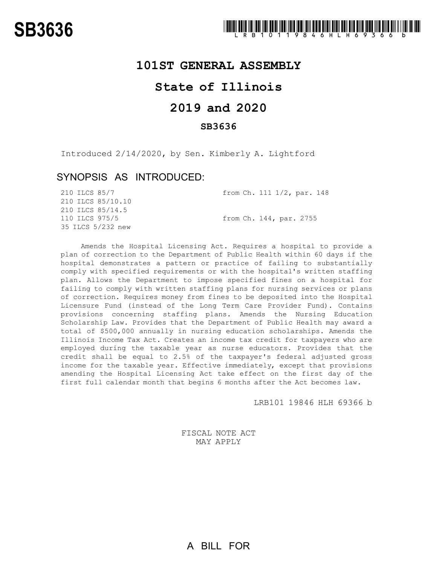## **101ST GENERAL ASSEMBLY**

## **State of Illinois**

# **2019 and 2020**

### **SB3636**

Introduced 2/14/2020, by Sen. Kimberly A. Lightford

## SYNOPSIS AS INTRODUCED:

|  | 210 ILCS 85/7     |  |  | from Ch. 111 1/2, par. 148 |  |
|--|-------------------|--|--|----------------------------|--|
|  | 210 ILCS 85/10.10 |  |  |                            |  |
|  | 210 ILCS 85/14.5  |  |  |                            |  |
|  | 110 ILCS 975/5    |  |  | from Ch. 144, par. 2755    |  |
|  | 35 ILCS 5/232 new |  |  |                            |  |

Amends the Hospital Licensing Act. Requires a hospital to provide a plan of correction to the Department of Public Health within 60 days if the hospital demonstrates a pattern or practice of failing to substantially comply with specified requirements or with the hospital's written staffing plan. Allows the Department to impose specified fines on a hospital for failing to comply with written staffing plans for nursing services or plans of correction. Requires money from fines to be deposited into the Hospital Licensure Fund (instead of the Long Term Care Provider Fund). Contains provisions concerning staffing plans. Amends the Nursing Education Scholarship Law. Provides that the Department of Public Health may award a total of \$500,000 annually in nursing education scholarships. Amends the Illinois Income Tax Act. Creates an income tax credit for taxpayers who are employed during the taxable year as nurse educators. Provides that the credit shall be equal to 2.5% of the taxpayer's federal adjusted gross income for the taxable year. Effective immediately, except that provisions amending the Hospital Licensing Act take effect on the first day of the first full calendar month that begins 6 months after the Act becomes law.

LRB101 19846 HLH 69366 b

FISCAL NOTE ACT MAY APPLY

A BILL FOR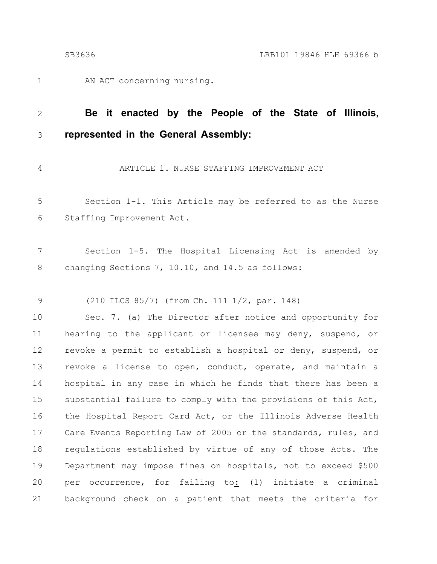AN ACT concerning nursing. 1

### **Be it enacted by the People of the State of Illinois, represented in the General Assembly:** 2 3

4

ARTICLE 1. NURSE STAFFING IMPROVEMENT ACT

Section 1-1. This Article may be referred to as the Nurse Staffing Improvement Act. 5 6

Section 1-5. The Hospital Licensing Act is amended by changing Sections 7, 10.10, and 14.5 as follows: 7 8

(210 ILCS 85/7) (from Ch. 111 1/2, par. 148) 9

Sec. 7. (a) The Director after notice and opportunity for hearing to the applicant or licensee may deny, suspend, or revoke a permit to establish a hospital or deny, suspend, or revoke a license to open, conduct, operate, and maintain a hospital in any case in which he finds that there has been a substantial failure to comply with the provisions of this Act, the Hospital Report Card Act, or the Illinois Adverse Health Care Events Reporting Law of 2005 or the standards, rules, and regulations established by virtue of any of those Acts. The Department may impose fines on hospitals, not to exceed \$500 per occurrence, for failing to: (1) initiate a criminal background check on a patient that meets the criteria for 10 11 12 13 14 15 16 17 18 19 20 21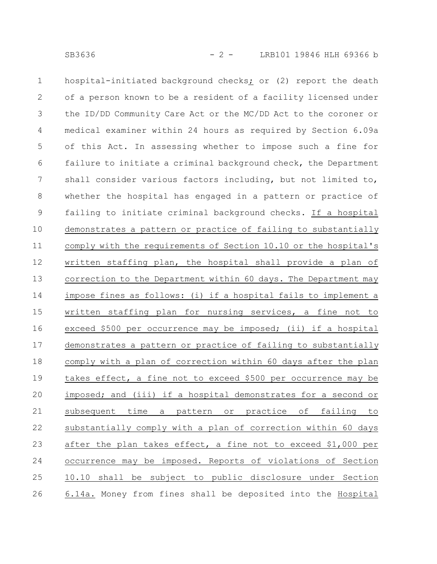hospital-initiated background checks; or (2) report the death of a person known to be a resident of a facility licensed under the ID/DD Community Care Act or the MC/DD Act to the coroner or medical examiner within 24 hours as required by Section 6.09a of this Act. In assessing whether to impose such a fine for failure to initiate a criminal background check, the Department shall consider various factors including, but not limited to, whether the hospital has engaged in a pattern or practice of failing to initiate criminal background checks. If a hospital demonstrates a pattern or practice of failing to substantially comply with the requirements of Section 10.10 or the hospital's written staffing plan, the hospital shall provide a plan of correction to the Department within 60 days. The Department may impose fines as follows: (i) if a hospital fails to implement a written staffing plan for nursing services, a fine not to exceed \$500 per occurrence may be imposed; (ii) if a hospital demonstrates a pattern or practice of failing to substantially comply with a plan of correction within 60 days after the plan takes effect, a fine not to exceed \$500 per occurrence may be imposed; and (iii) if a hospital demonstrates for a second or subsequent time a pattern or practice of failing to substantially comply with a plan of correction within 60 days after the plan takes effect, a fine not to exceed \$1,000 per occurrence may be imposed. Reports of violations of Section 10.10 shall be subject to public disclosure under Section 6.14a. Money from fines shall be deposited into the Hospital 1 2 3 4 5 6 7 8 9 10 11 12 13 14 15 16 17 18 19 20 21 22 23 24 25 26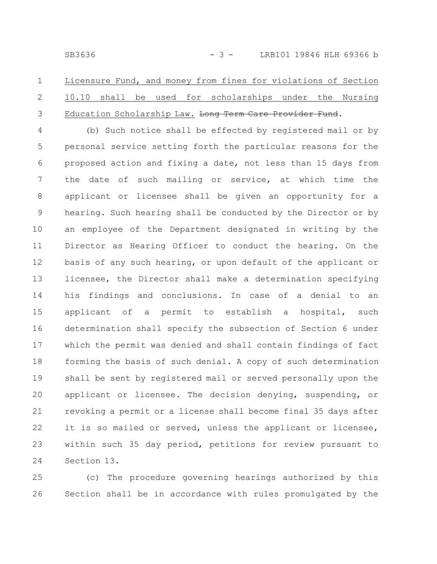### Licensure Fund, and money from fines for violations of Section 10.10 shall be used for scholarships under the Nursing Education Scholarship Law. Long Term Care Provider Fund. 1 2 3

(b) Such notice shall be effected by registered mail or by personal service setting forth the particular reasons for the proposed action and fixing a date, not less than 15 days from the date of such mailing or service, at which time the applicant or licensee shall be given an opportunity for a hearing. Such hearing shall be conducted by the Director or by an employee of the Department designated in writing by the Director as Hearing Officer to conduct the hearing. On the basis of any such hearing, or upon default of the applicant or licensee, the Director shall make a determination specifying his findings and conclusions. In case of a denial to an applicant of a permit to establish a hospital, such determination shall specify the subsection of Section 6 under which the permit was denied and shall contain findings of fact forming the basis of such denial. A copy of such determination shall be sent by registered mail or served personally upon the applicant or licensee. The decision denying, suspending, or revoking a permit or a license shall become final 35 days after it is so mailed or served, unless the applicant or licensee, within such 35 day period, petitions for review pursuant to Section 13. 4 5 6 7 8 9 10 11 12 13 14 15 16 17 18 19 20 21 22 23 24

(c) The procedure governing hearings authorized by this Section shall be in accordance with rules promulgated by the 25 26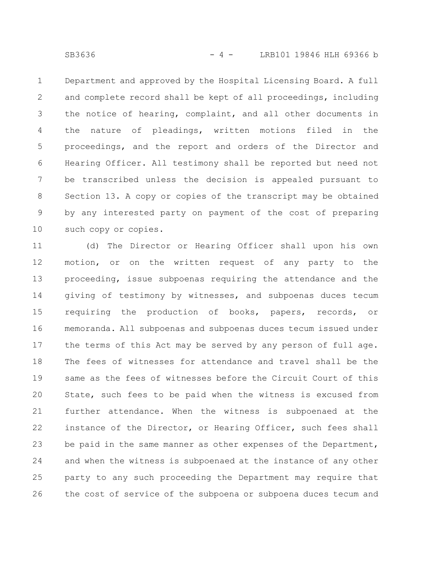Department and approved by the Hospital Licensing Board. A full and complete record shall be kept of all proceedings, including the notice of hearing, complaint, and all other documents in the nature of pleadings, written motions filed in the proceedings, and the report and orders of the Director and Hearing Officer. All testimony shall be reported but need not be transcribed unless the decision is appealed pursuant to Section 13. A copy or copies of the transcript may be obtained by any interested party on payment of the cost of preparing such copy or copies. 1 2 3 4 5 6 7 8 9 10

(d) The Director or Hearing Officer shall upon his own motion, or on the written request of any party to the proceeding, issue subpoenas requiring the attendance and the giving of testimony by witnesses, and subpoenas duces tecum requiring the production of books, papers, records, or memoranda. All subpoenas and subpoenas duces tecum issued under the terms of this Act may be served by any person of full age. The fees of witnesses for attendance and travel shall be the same as the fees of witnesses before the Circuit Court of this State, such fees to be paid when the witness is excused from further attendance. When the witness is subpoenaed at the instance of the Director, or Hearing Officer, such fees shall be paid in the same manner as other expenses of the Department, and when the witness is subpoenaed at the instance of any other party to any such proceeding the Department may require that the cost of service of the subpoena or subpoena duces tecum and 11 12 13 14 15 16 17 18 19 20 21 22 23 24 25 26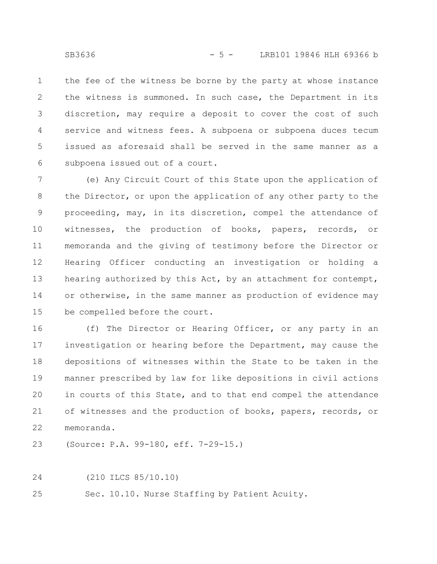the fee of the witness be borne by the party at whose instance the witness is summoned. In such case, the Department in its discretion, may require a deposit to cover the cost of such service and witness fees. A subpoena or subpoena duces tecum issued as aforesaid shall be served in the same manner as a subpoena issued out of a court. 1 2 3 4 5 6

(e) Any Circuit Court of this State upon the application of the Director, or upon the application of any other party to the proceeding, may, in its discretion, compel the attendance of witnesses, the production of books, papers, records, or memoranda and the giving of testimony before the Director or Hearing Officer conducting an investigation or holding a hearing authorized by this Act, by an attachment for contempt, or otherwise, in the same manner as production of evidence may be compelled before the court. 7 8 9 10 11 12 13 14 15

(f) The Director or Hearing Officer, or any party in an investigation or hearing before the Department, may cause the depositions of witnesses within the State to be taken in the manner prescribed by law for like depositions in civil actions in courts of this State, and to that end compel the attendance of witnesses and the production of books, papers, records, or memoranda. 16 17 18 19 20 21 22

(Source: P.A. 99-180, eff. 7-29-15.) 23

(210 ILCS 85/10.10) 24

Sec. 10.10. Nurse Staffing by Patient Acuity. 25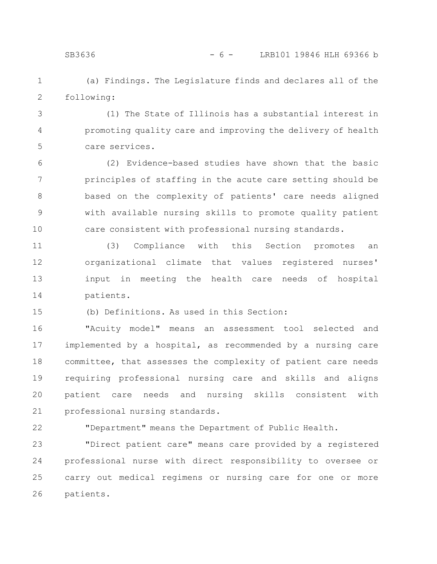- (a) Findings. The Legislature finds and declares all of the following: 1 2
- (1) The State of Illinois has a substantial interest in promoting quality care and improving the delivery of health care services. 3 4 5

(2) Evidence-based studies have shown that the basic principles of staffing in the acute care setting should be based on the complexity of patients' care needs aligned with available nursing skills to promote quality patient care consistent with professional nursing standards. 6 7 8 9 10

(3) Compliance with this Section promotes an organizational climate that values registered nurses' input in meeting the health care needs of hospital patients. 11 12 13 14

(b) Definitions. As used in this Section: 15

"Acuity model" means an assessment tool selected and implemented by a hospital, as recommended by a nursing care committee, that assesses the complexity of patient care needs requiring professional nursing care and skills and aligns patient care needs and nursing skills consistent with professional nursing standards. 16 17 18 19 20 21

22

"Department" means the Department of Public Health.

"Direct patient care" means care provided by a registered professional nurse with direct responsibility to oversee or carry out medical regimens or nursing care for one or more patients. 23 24 25 26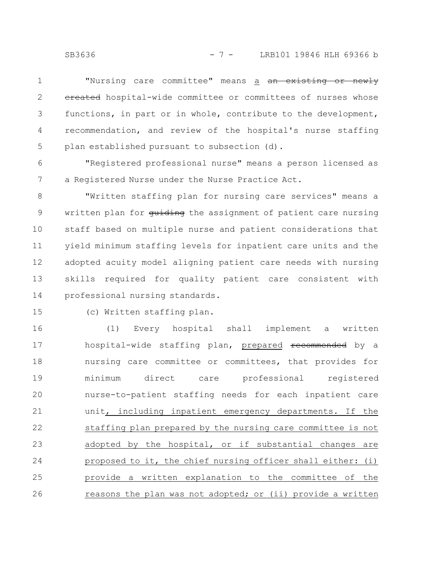"Nursing care committee" means a an existing or newly ereated hospital-wide committee or committees of nurses whose functions, in part or in whole, contribute to the development, recommendation, and review of the hospital's nurse staffing plan established pursuant to subsection (d). 1 2 3 4 5

"Registered professional nurse" means a person licensed as a Registered Nurse under the Nurse Practice Act. 6 7

"Written staffing plan for nursing care services" means a written plan for *quiding* the assignment of patient care nursing staff based on multiple nurse and patient considerations that yield minimum staffing levels for inpatient care units and the adopted acuity model aligning patient care needs with nursing skills required for quality patient care consistent with professional nursing standards. 8 9 10 11 12 13 14

15

(c) Written staffing plan.

(1) Every hospital shall implement a written hospital-wide staffing plan, prepared recommended by a nursing care committee or committees, that provides for minimum direct care professional registered nurse-to-patient staffing needs for each inpatient care unit, including inpatient emergency departments. If the staffing plan prepared by the nursing care committee is not adopted by the hospital, or if substantial changes are proposed to it, the chief nursing officer shall either: (i) provide a written explanation to the committee of the reasons the plan was not adopted; or (ii) provide a written 16 17 18 19 20 21 22 23 24 25 26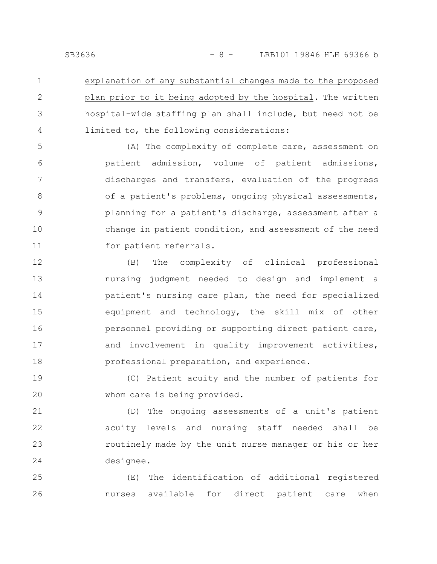explanation of any substantial changes made to the proposed plan prior to it being adopted by the hospital. The written hospital-wide staffing plan shall include, but need not be limited to, the following considerations: 1 2 3 4

(A) The complexity of complete care, assessment on patient admission, volume of patient admissions, discharges and transfers, evaluation of the progress of a patient's problems, ongoing physical assessments, planning for a patient's discharge, assessment after a change in patient condition, and assessment of the need for patient referrals. 5 6 7 8 9 10 11

(B) The complexity of clinical professional nursing judgment needed to design and implement a patient's nursing care plan, the need for specialized equipment and technology, the skill mix of other personnel providing or supporting direct patient care, and involvement in quality improvement activities, professional preparation, and experience. 12 13 14 15 16 17 18

(C) Patient acuity and the number of patients for whom care is being provided. 19 20

(D) The ongoing assessments of a unit's patient acuity levels and nursing staff needed shall be routinely made by the unit nurse manager or his or her designee. 21 22 23 24

(E) The identification of additional registered nurses available for direct patient care when 25 26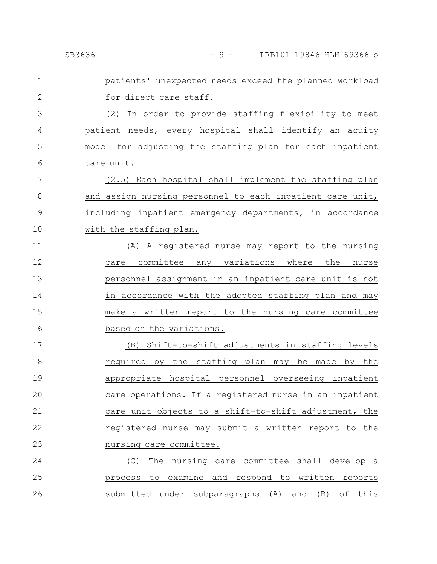### SB3636 - 9 - LRB101 19846 HLH 69366 b

patients' unexpected needs exceed the planned workload for direct care staff. 1 2

(2) In order to provide staffing flexibility to meet patient needs, every hospital shall identify an acuity model for adjusting the staffing plan for each inpatient care unit. 3 4 5 6

(2.5) Each hospital shall implement the staffing plan and assign nursing personnel to each inpatient care unit, including inpatient emergency departments, in accordance with the staffing plan. 7 8 9 10

(A) A registered nurse may report to the nursing care committee any variations where the nurse personnel assignment in an inpatient care unit is not in accordance with the adopted staffing plan and may make a written report to the nursing care committee based on the variations. 11 12 13 14 15 16

(B) Shift-to-shift adjustments in staffing levels required by the staffing plan may be made by the appropriate hospital personnel overseeing inpatient care operations. If a registered nurse in an inpatient care unit objects to a shift-to-shift adjustment, the registered nurse may submit a written report to the nursing care committee. 17 18 19 20 21 22 23

(C) The nursing care committee shall develop a process to examine and respond to written reports submitted under subparagraphs (A) and (B) of this 24 25 26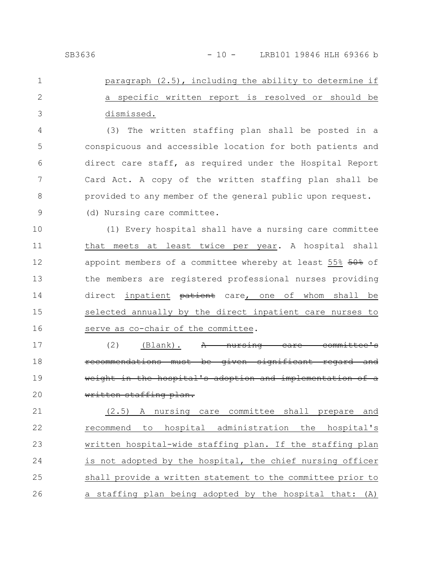### paragraph (2.5), including the ability to determine if a specific written report is resolved or should be dismissed. 1 2 3

(3) The written staffing plan shall be posted in a conspicuous and accessible location for both patients and direct care staff, as required under the Hospital Report Card Act. A copy of the written staffing plan shall be provided to any member of the general public upon request. (d) Nursing care committee. 4 5 6 7 8 9

(1) Every hospital shall have a nursing care committee that meets at least twice per year. A hospital shall appoint members of a committee whereby at least 55% 50% of the members are registered professional nurses providing direct inpatient patient care, one of whom shall be selected annually by the direct inpatient care nurses to serve as co-chair of the committee. 10 11 12 13 14 15 16

(2) (Blank). A nursing care committee's recommendations must be given significant the hospital's adoption and implementation written staffing plan. 17 18 19 20

(2.5) A nursing care committee shall prepare and recommend to hospital administration the hospital's written hospital-wide staffing plan. If the staffing plan is not adopted by the hospital, the chief nursing officer shall provide a written statement to the committee prior to a staffing plan being adopted by the hospital that: (A) 21 22 23 24 25 26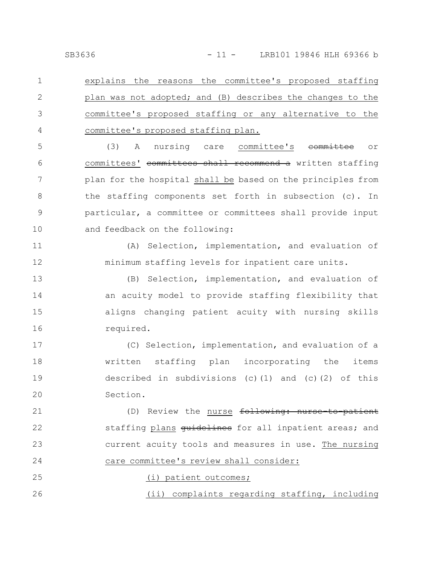explains the reasons the committee's proposed staffing plan was not adopted; and (B) describes the changes to the committee's proposed staffing or any alternative to the committee's proposed staffing plan. 1 2 3 4

(3) A nursing care committee's committee or committees' committees shall recommend a written staffing plan for the hospital shall be based on the principles from the staffing components set forth in subsection (c). In particular, a committee or committees shall provide input and feedback on the following: 5 6 7 8 9 10

(A) Selection, implementation, and evaluation of minimum staffing levels for inpatient care units.

(B) Selection, implementation, and evaluation of an acuity model to provide staffing flexibility that aligns changing patient acuity with nursing skills required. 13 14 15 16

(C) Selection, implementation, and evaluation of a written staffing plan incorporating the items described in subdivisions (c)(1) and (c)(2) of this Section. 17 18 19 20

(D) Review the nurse following: nurse-to-patient staffing plans guidelines for all inpatient areas; and current acuity tools and measures in use. The nursing care committee's review shall consider: 21 22 23 24

- (i) patient outcomes; 25
	- (ii) complaints regarding staffing, including

11

12

26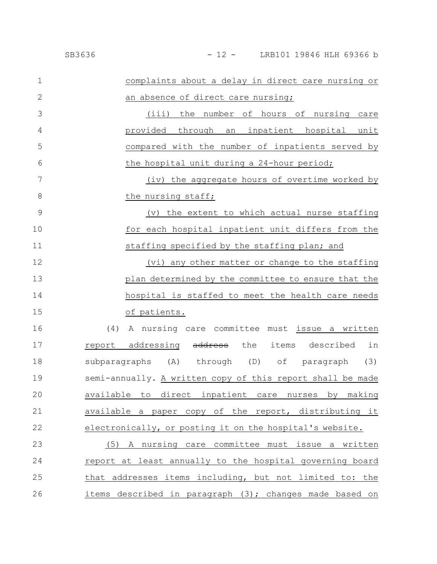| $\mathbf 1$    | complaints about a delay in direct care nursing or         |
|----------------|------------------------------------------------------------|
| $\mathbf{2}$   | an absence of direct care nursing;                         |
| 3              | (iii) the number of hours of nursing care                  |
| 4              | provided through an inpatient hospital unit                |
| 5              | compared with the number of inpatients served by           |
| 6              | the hospital unit during a 24-hour period;                 |
| 7              | (iv) the aggregate hours of overtime worked by             |
| 8              | the nursing staff;                                         |
| $\overline{9}$ | (v) the extent to which actual nurse staffing              |
| 10             | for each hospital inpatient unit differs from the          |
| 11             | staffing specified by the staffing plan; and               |
| 12             | (vi) any other matter or change to the staffing            |
| 13             | plan determined by the committee to ensure that the        |
| 14             | hospital is staffed to meet the health care needs          |
| 15             | of patients.                                               |
| 16             | (4)<br>A nursing care committee must issue a written       |
| 17             | report addressing address the items<br>described<br>in     |
| 18             | subparagraphs (A) through (D) of paragraph (3)             |
| 19             | semi-annually. A written copy of this report shall be made |
| 20             | available to direct inpatient care nurses by making        |
| 21             | available a paper copy of the report, distributing it      |
| 22             | electronically, or posting it on the hospital's website.   |
| 23             | (5) A nursing care committee must issue a written          |
| 24             | report at least annually to the hospital governing board   |
| 25             | that addresses items including, but not limited to: the    |
| 26             | items described in paragraph (3); changes made based on    |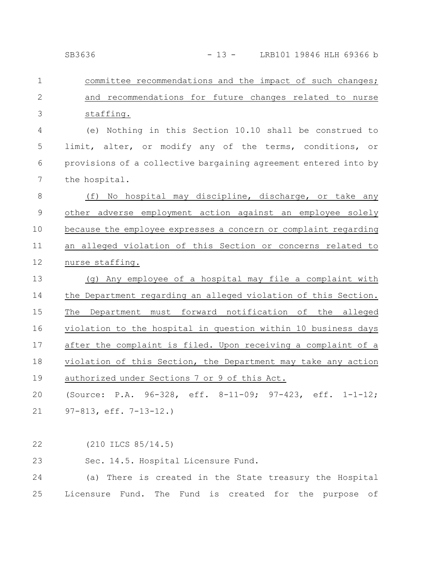| SB3636 | LRB101 19846 HLH 69366 b |  |
|--------|--------------------------|--|
|        |                          |  |

committee recommendations and the impact of such changes; and recommendations for future changes related to nurse staffing. 1 2 3

(e) Nothing in this Section 10.10 shall be construed to limit, alter, or modify any of the terms, conditions, or provisions of a collective bargaining agreement entered into by the hospital. 4 5 6 7

(f) No hospital may discipline, discharge, or take any other adverse employment action against an employee solely because the employee expresses a concern or complaint regarding an alleged violation of this Section or concerns related to nurse staffing. 8 9 10 11 12

(g) Any employee of a hospital may file a complaint with the Department regarding an alleged violation of this Section. The Department must forward notification of the alleged violation to the hospital in question within 10 business days after the complaint is filed. Upon receiving a complaint of a violation of this Section, the Department may take any action authorized under Sections 7 or 9 of this Act. 13 14 15 16 17 18 19

(Source: P.A. 96-328, eff. 8-11-09; 97-423, eff. 1-1-12; 97-813, eff. 7-13-12.) 20 21

(210 ILCS 85/14.5) 22

Sec. 14.5. Hospital Licensure Fund. 23

(a) There is created in the State treasury the Hospital Licensure Fund. The Fund is created for the purpose of 24 25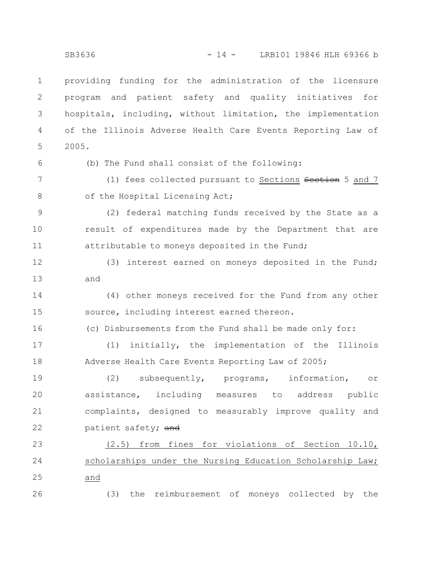providing funding for the administration of the licensure program and patient safety and quality initiatives for hospitals, including, without limitation, the implementation of the Illinois Adverse Health Care Events Reporting Law of 2005. 1 2 3 4 5

6

(b) The Fund shall consist of the following:

7 8

16

26

(1) fees collected pursuant to Sections Section 5 and 7 of the Hospital Licensing Act;

(2) federal matching funds received by the State as a result of expenditures made by the Department that are attributable to moneys deposited in the Fund; 9 10 11

(3) interest earned on moneys deposited in the Fund; and 12 13

(4) other moneys received for the Fund from any other source, including interest earned thereon. 14 15

(c) Disbursements from the Fund shall be made only for:

(1) initially, the implementation of the Illinois Adverse Health Care Events Reporting Law of 2005; 17 18

(2) subsequently, programs, information, or assistance, including measures to address public complaints, designed to measurably improve quality and patient safety; and 19 20 21 22

(2.5) from fines for violations of Section 10.10, scholarships under the Nursing Education Scholarship Law; and 23 24 25

(3) the reimbursement of moneys collected by the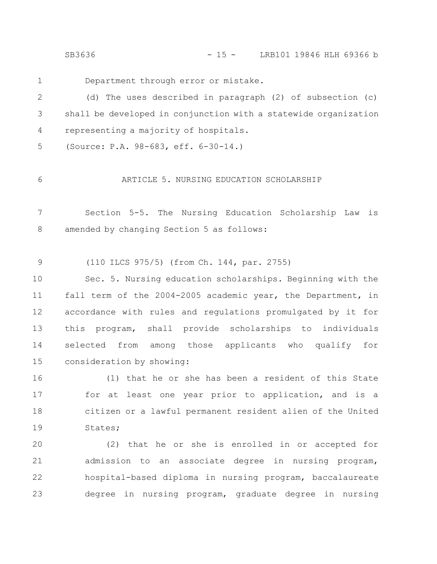SB3636 - 15 - LRB101 19846 HLH 69366 b

1

6

Department through error or mistake.

(d) The uses described in paragraph (2) of subsection (c) shall be developed in conjunction with a statewide organization representing a majority of hospitals. 2 3 4

(Source: P.A. 98-683, eff. 6-30-14.) 5

ARTICLE 5. NURSING EDUCATION SCHOLARSHIP

Section 5-5. The Nursing Education Scholarship Law is amended by changing Section 5 as follows: 7 8

(110 ILCS 975/5) (from Ch. 144, par. 2755) 9

Sec. 5. Nursing education scholarships. Beginning with the fall term of the 2004-2005 academic year, the Department, in accordance with rules and regulations promulgated by it for this program, shall provide scholarships to individuals selected from among those applicants who qualify for consideration by showing: 10 11 12 13 14 15

(1) that he or she has been a resident of this State for at least one year prior to application, and is a citizen or a lawful permanent resident alien of the United States; 16 17 18 19

(2) that he or she is enrolled in or accepted for admission to an associate degree in nursing program, hospital-based diploma in nursing program, baccalaureate degree in nursing program, graduate degree in nursing 20 21 22 23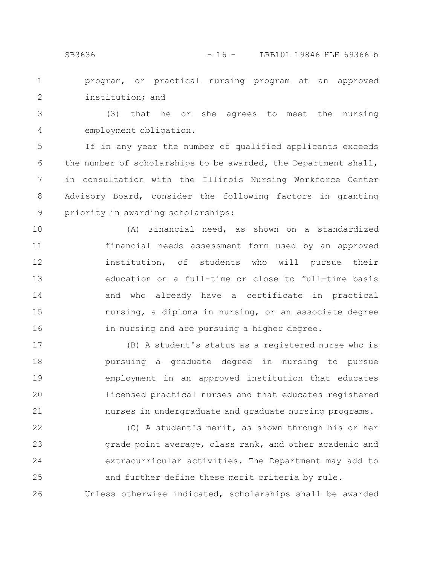program, or practical nursing program at an approved institution; and 1 2

(3) that he or she agrees to meet the nursing employment obligation. 3 4

If in any year the number of qualified applicants exceeds the number of scholarships to be awarded, the Department shall, in consultation with the Illinois Nursing Workforce Center Advisory Board, consider the following factors in granting priority in awarding scholarships: 5 6 7 8 9

(A) Financial need, as shown on a standardized financial needs assessment form used by an approved institution, of students who will pursue their education on a full-time or close to full-time basis and who already have a certificate in practical nursing, a diploma in nursing, or an associate degree in nursing and are pursuing a higher degree. 10 11 12 13 14 15 16

(B) A student's status as a registered nurse who is pursuing a graduate degree in nursing to pursue employment in an approved institution that educates licensed practical nurses and that educates registered nurses in undergraduate and graduate nursing programs. 17 18 19 20 21

(C) A student's merit, as shown through his or her grade point average, class rank, and other academic and extracurricular activities. The Department may add to and further define these merit criteria by rule. 22 23 24 25

Unless otherwise indicated, scholarships shall be awarded 26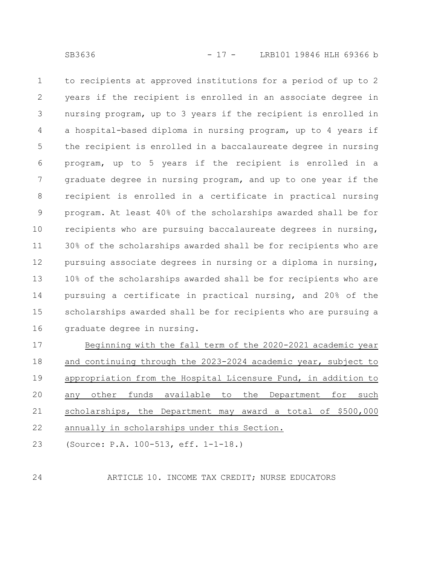to recipients at approved institutions for a period of up to 2 years if the recipient is enrolled in an associate degree in nursing program, up to 3 years if the recipient is enrolled in a hospital-based diploma in nursing program, up to 4 years if the recipient is enrolled in a baccalaureate degree in nursing program, up to 5 years if the recipient is enrolled in a graduate degree in nursing program, and up to one year if the recipient is enrolled in a certificate in practical nursing program. At least 40% of the scholarships awarded shall be for recipients who are pursuing baccalaureate degrees in nursing, 30% of the scholarships awarded shall be for recipients who are pursuing associate degrees in nursing or a diploma in nursing, 10% of the scholarships awarded shall be for recipients who are pursuing a certificate in practical nursing, and 20% of the scholarships awarded shall be for recipients who are pursuing a graduate degree in nursing. 1 2 3 4 5 6 7 8 9 10 11 12 13 14 15 16

Beginning with the fall term of the 2020-2021 academic year and continuing through the 2023-2024 academic year, subject to appropriation from the Hospital Licensure Fund, in addition to any other funds available to the Department for such scholarships, the Department may award a total of \$500,000 annually in scholarships under this Section. 17 18 19 20 21 22

(Source: P.A. 100-513, eff. 1-1-18.) 23

24

ARTICLE 10. INCOME TAX CREDIT; NURSE EDUCATORS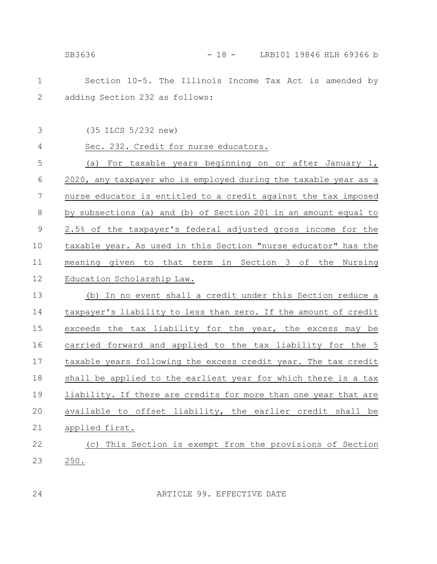24

|                                |  | Section 10-5. The Illinois Income Tax Act is amended by |  |  |  |
|--------------------------------|--|---------------------------------------------------------|--|--|--|
| adding Section 232 as follows: |  |                                                         |  |  |  |

(35 ILCS 5/232 new) 3

Sec. 232. Credit for nurse educators. 4

(a) For taxable years beginning on or after January 1, 2020, any taxpayer who is employed during the taxable year as a nurse educator is entitled to a credit against the tax imposed by subsections (a) and (b) of Section 201 in an amount equal to 2.5% of the taxpayer's federal adjusted gross income for the taxable year. As used in this Section "nurse educator" has the meaning given to that term in Section 3 of the Nursing Education Scholarship Law. 5 6 7 8 9 10 11 12

(b) In no event shall a credit under this Section reduce a taxpayer's liability to less than zero. If the amount of credit exceeds the tax liability for the year, the excess may be carried forward and applied to the tax liability for the 5 taxable years following the excess credit year. The tax credit shall be applied to the earliest year for which there is a tax liability. If there are credits for more than one year that are available to offset liability, the earlier credit shall be applied first. 13 14 15 16 17 18 19 20 21

#### (c) This Section is exempt from the provisions of Section 250. 22 23

ARTICLE 99. EFFECTIVE DATE